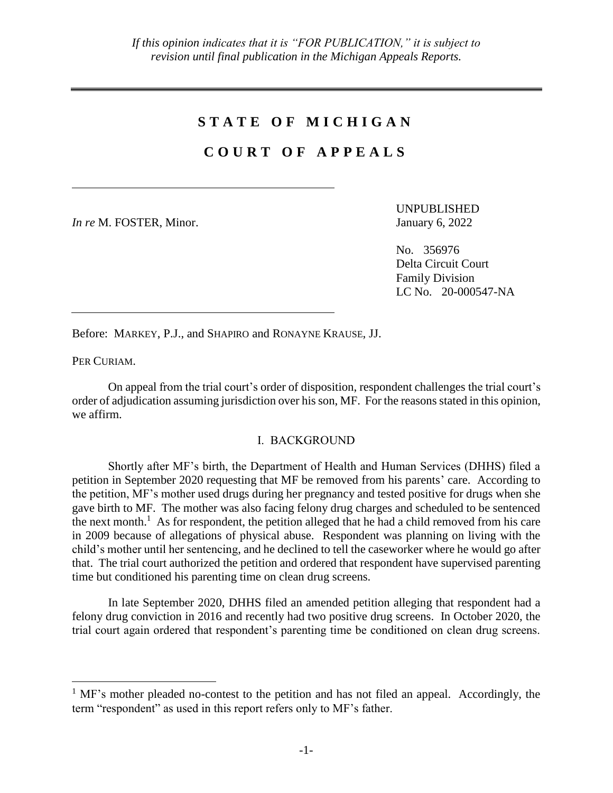## **S T A T E O F M I C H I G A N**

## **C O U R T O F A P P E A L S**

*In re* M. FOSTER, Minor. January 6, 2022

UNPUBLISHED

No. 356976 Delta Circuit Court Family Division LC No. 20-000547-NA

Before: MARKEY, P.J., and SHAPIRO and RONAYNE KRAUSE, JJ.

PER CURIAM.

 $\overline{a}$ 

On appeal from the trial court's order of disposition, respondent challenges the trial court's order of adjudication assuming jurisdiction over his son, MF. For the reasons stated in this opinion, we affirm.

## I. BACKGROUND

Shortly after MF's birth, the Department of Health and Human Services (DHHS) filed a petition in September 2020 requesting that MF be removed from his parents' care. According to the petition, MF's mother used drugs during her pregnancy and tested positive for drugs when she gave birth to MF. The mother was also facing felony drug charges and scheduled to be sentenced the next month.<sup>1</sup> As for respondent, the petition alleged that he had a child removed from his care in 2009 because of allegations of physical abuse. Respondent was planning on living with the child's mother until her sentencing, and he declined to tell the caseworker where he would go after that. The trial court authorized the petition and ordered that respondent have supervised parenting time but conditioned his parenting time on clean drug screens.

In late September 2020, DHHS filed an amended petition alleging that respondent had a felony drug conviction in 2016 and recently had two positive drug screens. In October 2020, the trial court again ordered that respondent's parenting time be conditioned on clean drug screens.

 $<sup>1</sup>$  MF's mother pleaded no-contest to the petition and has not filed an appeal. Accordingly, the</sup> term "respondent" as used in this report refers only to MF's father.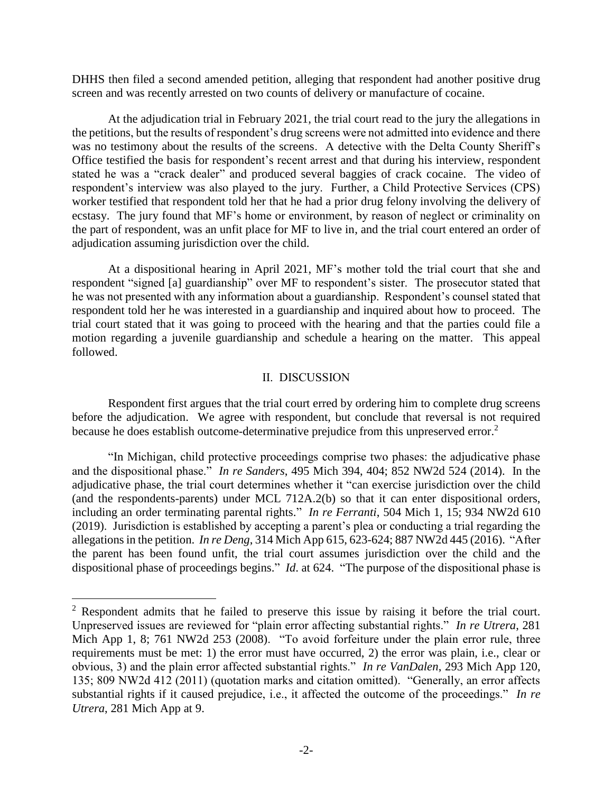DHHS then filed a second amended petition, alleging that respondent had another positive drug screen and was recently arrested on two counts of delivery or manufacture of cocaine.

At the adjudication trial in February 2021, the trial court read to the jury the allegations in the petitions, but the results of respondent's drug screens were not admitted into evidence and there was no testimony about the results of the screens. A detective with the Delta County Sheriff's Office testified the basis for respondent's recent arrest and that during his interview, respondent stated he was a "crack dealer" and produced several baggies of crack cocaine. The video of respondent's interview was also played to the jury. Further, a Child Protective Services (CPS) worker testified that respondent told her that he had a prior drug felony involving the delivery of ecstasy. The jury found that MF's home or environment, by reason of neglect or criminality on the part of respondent, was an unfit place for MF to live in, and the trial court entered an order of adjudication assuming jurisdiction over the child.

At a dispositional hearing in April 2021, MF's mother told the trial court that she and respondent "signed [a] guardianship" over MF to respondent's sister. The prosecutor stated that he was not presented with any information about a guardianship. Respondent's counsel stated that respondent told her he was interested in a guardianship and inquired about how to proceed. The trial court stated that it was going to proceed with the hearing and that the parties could file a motion regarding a juvenile guardianship and schedule a hearing on the matter. This appeal followed.

## II. DISCUSSION

Respondent first argues that the trial court erred by ordering him to complete drug screens before the adjudication. We agree with respondent, but conclude that reversal is not required because he does establish outcome-determinative prejudice from this unpreserved error.<sup>2</sup>

"In Michigan, child protective proceedings comprise two phases: the adjudicative phase and the dispositional phase." *In re Sanders*, 495 Mich 394, 404; 852 NW2d 524 (2014). In the adjudicative phase, the trial court determines whether it "can exercise jurisdiction over the child (and the respondents-parents) under MCL 712A.2(b) so that it can enter dispositional orders, including an order terminating parental rights." *In re Ferranti*, 504 Mich 1, 15; 934 NW2d 610 (2019). Jurisdiction is established by accepting a parent's plea or conducting a trial regarding the allegations in the petition. *In re Deng*, 314 Mich App 615, 623-624; 887 NW2d 445 (2016). "After the parent has been found unfit, the trial court assumes jurisdiction over the child and the dispositional phase of proceedings begins." *Id*. at 624. "The purpose of the dispositional phase is

 $\overline{a}$ 

<sup>&</sup>lt;sup>2</sup> Respondent admits that he failed to preserve this issue by raising it before the trial court. Unpreserved issues are reviewed for "plain error affecting substantial rights." *In re Utrera*, 281 Mich App 1, 8; 761 NW2d 253 (2008). "To avoid forfeiture under the plain error rule, three requirements must be met: 1) the error must have occurred, 2) the error was plain, i.e., clear or obvious, 3) and the plain error affected substantial rights." *In re VanDalen*, 293 Mich App 120, 135; 809 NW2d 412 (2011) (quotation marks and citation omitted). "Generally, an error affects substantial rights if it caused prejudice, i.e., it affected the outcome of the proceedings." *In re Utrera*, 281 Mich App at 9.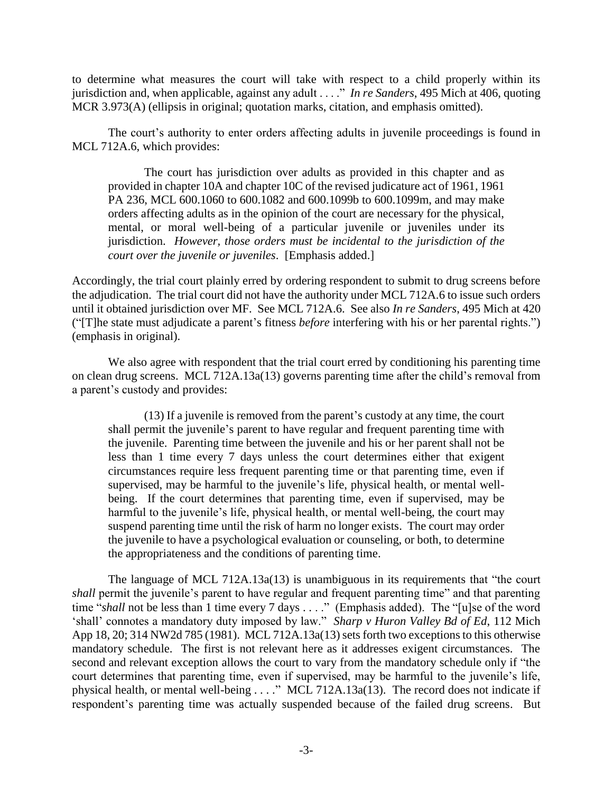to determine what measures the court will take with respect to a child properly within its jurisdiction and, when applicable, against any adult . . . ." *In re Sanders*, 495 Mich at 406, quoting MCR 3.973(A) (ellipsis in original; quotation marks, citation, and emphasis omitted).

The court's authority to enter orders affecting adults in juvenile proceedings is found in MCL 712A.6, which provides:

The court has jurisdiction over adults as provided in this chapter and as provided in chapter 10A and chapter 10C of the revised judicature act of 1961, 1961 PA 236, MCL 600.1060 to 600.1082 and 600.1099b to 600.1099m, and may make orders affecting adults as in the opinion of the court are necessary for the physical, mental, or moral well-being of a particular juvenile or juveniles under its jurisdiction. *However, those orders must be incidental to the jurisdiction of the court over the juvenile or juveniles*. [Emphasis added.]

Accordingly, the trial court plainly erred by ordering respondent to submit to drug screens before the adjudication. The trial court did not have the authority under MCL 712A.6 to issue such orders until it obtained jurisdiction over MF. See MCL 712A.6. See also *In re Sanders*, 495 Mich at 420 ("[T]he state must adjudicate a parent's fitness *before* interfering with his or her parental rights.") (emphasis in original).

We also agree with respondent that the trial court erred by conditioning his parenting time on clean drug screens. MCL 712A.13a(13) governs parenting time after the child's removal from a parent's custody and provides:

(13) If a juvenile is removed from the parent's custody at any time, the court shall permit the juvenile's parent to have regular and frequent parenting time with the juvenile. Parenting time between the juvenile and his or her parent shall not be less than 1 time every 7 days unless the court determines either that exigent circumstances require less frequent parenting time or that parenting time, even if supervised, may be harmful to the juvenile's life, physical health, or mental wellbeing. If the court determines that parenting time, even if supervised, may be harmful to the juvenile's life, physical health, or mental well-being, the court may suspend parenting time until the risk of harm no longer exists. The court may order the juvenile to have a psychological evaluation or counseling, or both, to determine the appropriateness and the conditions of parenting time.

The language of MCL 712A.13a(13) is unambiguous in its requirements that "the court *shall* permit the juvenile's parent to have regular and frequent parenting time" and that parenting time "shall not be less than 1 time every 7 days . . . ." (Emphasis added). The "[u]se of the word 'shall' connotes a mandatory duty imposed by law." *Sharp v Huron Valley Bd of Ed*, 112 Mich App 18, 20; 314 NW2d 785 (1981). MCL 712A.13a(13) sets forth two exceptions to this otherwise mandatory schedule. The first is not relevant here as it addresses exigent circumstances. The second and relevant exception allows the court to vary from the mandatory schedule only if "the court determines that parenting time, even if supervised, may be harmful to the juvenile's life, physical health, or mental well-being . . . ." MCL 712A.13a(13). The record does not indicate if respondent's parenting time was actually suspended because of the failed drug screens. But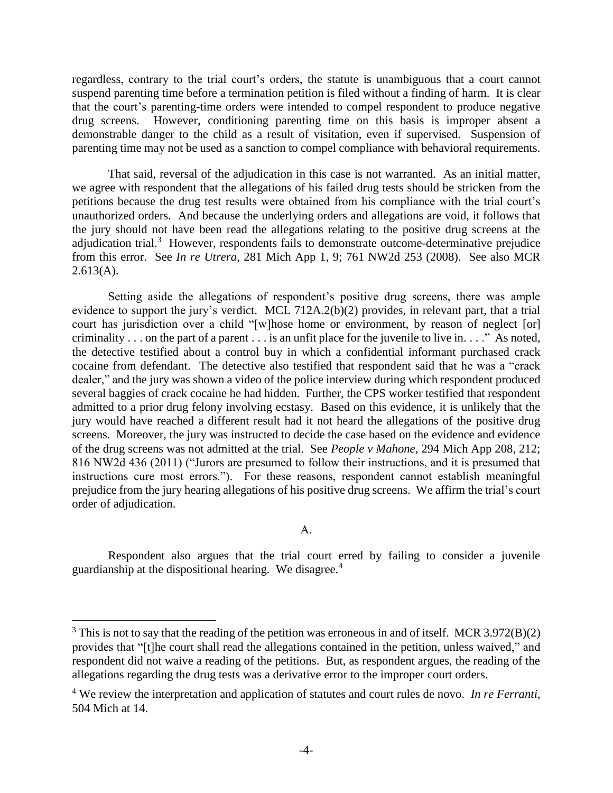regardless, contrary to the trial court's orders, the statute is unambiguous that a court cannot suspend parenting time before a termination petition is filed without a finding of harm. It is clear that the court's parenting-time orders were intended to compel respondent to produce negative drug screens. However, conditioning parenting time on this basis is improper absent a demonstrable danger to the child as a result of visitation, even if supervised. Suspension of parenting time may not be used as a sanction to compel compliance with behavioral requirements.

That said, reversal of the adjudication in this case is not warranted. As an initial matter, we agree with respondent that the allegations of his failed drug tests should be stricken from the petitions because the drug test results were obtained from his compliance with the trial court's unauthorized orders. And because the underlying orders and allegations are void, it follows that the jury should not have been read the allegations relating to the positive drug screens at the adjudication trial.<sup>3</sup> However, respondents fails to demonstrate outcome-determinative prejudice from this error. See *In re Utrera*, 281 Mich App 1, 9; 761 NW2d 253 (2008). See also MCR  $2.613(A)$ .

Setting aside the allegations of respondent's positive drug screens, there was ample evidence to support the jury's verdict. MCL 712A.2(b)(2) provides, in relevant part, that a trial court has jurisdiction over a child "[w]hose home or environment, by reason of neglect [or] criminality . . . on the part of a parent . . . is an unfit place for the juvenile to live in. . . ." As noted, the detective testified about a control buy in which a confidential informant purchased crack cocaine from defendant. The detective also testified that respondent said that he was a "crack dealer," and the jury was shown a video of the police interview during which respondent produced several baggies of crack cocaine he had hidden. Further, the CPS worker testified that respondent admitted to a prior drug felony involving ecstasy. Based on this evidence, it is unlikely that the jury would have reached a different result had it not heard the allegations of the positive drug screens. Moreover, the jury was instructed to decide the case based on the evidence and evidence of the drug screens was not admitted at the trial. See *People v Mahone*, 294 Mich App 208, 212; 816 NW2d 436 (2011) ("Jurors are presumed to follow their instructions, and it is presumed that instructions cure most errors."). For these reasons, respondent cannot establish meaningful prejudice from the jury hearing allegations of his positive drug screens. We affirm the trial's court order of adjudication.

A.

Respondent also argues that the trial court erred by failing to consider a juvenile guardianship at the dispositional hearing. We disagree.<sup>4</sup>

 $\overline{a}$ 

 $3$  This is not to say that the reading of the petition was erroneous in and of itself. MCR 3.972(B)(2) provides that "[t]he court shall read the allegations contained in the petition, unless waived," and respondent did not waive a reading of the petitions. But, as respondent argues, the reading of the allegations regarding the drug tests was a derivative error to the improper court orders.

<sup>4</sup> We review the interpretation and application of statutes and court rules de novo. *In re Ferranti*, 504 Mich at 14.